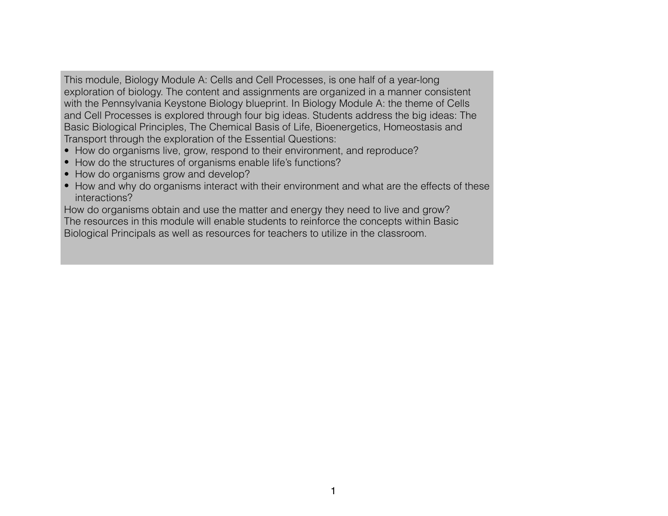This module, Biology Module A: Cells and Cell Processes, is one half of a year-long exploration of biology. The content and assignments are organized in a manner consistent with the Pennsylvania Keystone Biology blueprint. In Biology Module A: the theme of Cells and Cell Processes is explored through four big ideas. Students address the big ideas: The Basic Biological Principles, The Chemical Basis of Life, Bioenergetics, Homeostasis and Transport through the exploration of the Essential Questions:

- How do organisms live, grow, respond to their environment, and reproduce?
- How do the structures of organisms enable life's functions?
- How do organisms grow and develop?
- How and why do organisms interact with their environment and what are the effects of these interactions?

How do organisms obtain and use the matter and energy they need to live and grow? The resources in this module will enable students to reinforce the concepts within Basic Biological Principals as well as resources for teachers to utilize in the classroom.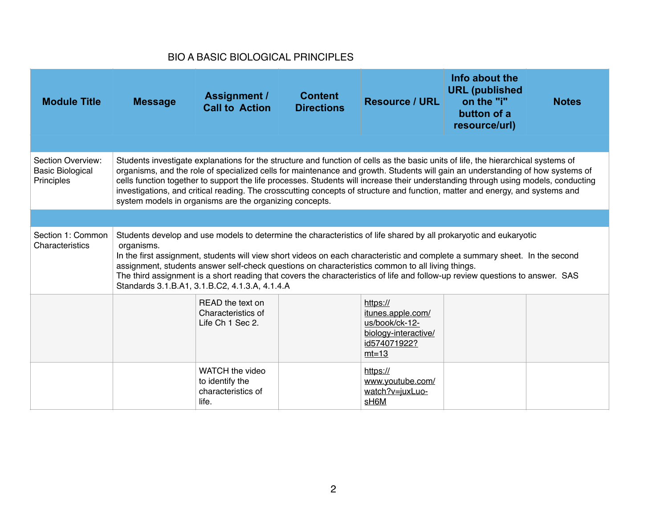## BIO A BASIC BIOLOGICAL PRINCIPLES

| <b>Module Title</b>                                        | <b>Message</b>                                                                                                                                                                                                                                                                                                                                                                                                                                                                                                                                        | <b>Assignment /</b><br><b>Call to Action</b>                                                                                                                                                                                                                                                                                                                                                                                                                                                                                                                                                          | <b>Content</b><br><b>Directions</b> | <b>Resource / URL</b>                                                                              | Info about the<br><b>URL</b> (published<br>on the "i"<br>button of a<br>resource/url) | <b>Notes</b> |
|------------------------------------------------------------|-------------------------------------------------------------------------------------------------------------------------------------------------------------------------------------------------------------------------------------------------------------------------------------------------------------------------------------------------------------------------------------------------------------------------------------------------------------------------------------------------------------------------------------------------------|-------------------------------------------------------------------------------------------------------------------------------------------------------------------------------------------------------------------------------------------------------------------------------------------------------------------------------------------------------------------------------------------------------------------------------------------------------------------------------------------------------------------------------------------------------------------------------------------------------|-------------------------------------|----------------------------------------------------------------------------------------------------|---------------------------------------------------------------------------------------|--------------|
|                                                            |                                                                                                                                                                                                                                                                                                                                                                                                                                                                                                                                                       |                                                                                                                                                                                                                                                                                                                                                                                                                                                                                                                                                                                                       |                                     |                                                                                                    |                                                                                       |              |
| Section Overview:<br><b>Basic Biological</b><br>Principles |                                                                                                                                                                                                                                                                                                                                                                                                                                                                                                                                                       | Students investigate explanations for the structure and function of cells as the basic units of life, the hierarchical systems of<br>organisms, and the role of specialized cells for maintenance and growth. Students will gain an understanding of how systems of<br>cells function together to support the life processes. Students will increase their understanding through using models, conducting<br>investigations, and critical reading. The crosscutting concepts of structure and function, matter and energy, and systems and<br>system models in organisms are the organizing concepts. |                                     |                                                                                                    |                                                                                       |              |
|                                                            |                                                                                                                                                                                                                                                                                                                                                                                                                                                                                                                                                       |                                                                                                                                                                                                                                                                                                                                                                                                                                                                                                                                                                                                       |                                     |                                                                                                    |                                                                                       |              |
| Section 1: Common<br>Characteristics                       | Students develop and use models to determine the characteristics of life shared by all prokaryotic and eukaryotic<br>organisms.<br>In the first assignment, students will view short videos on each characteristic and complete a summary sheet. In the second<br>assignment, students answer self-check questions on characteristics common to all living things.<br>The third assignment is a short reading that covers the characteristics of life and follow-up review questions to answer. SAS<br>Standards 3.1.B.A1, 3.1.B.C2, 4.1.3.A, 4.1.4.A |                                                                                                                                                                                                                                                                                                                                                                                                                                                                                                                                                                                                       |                                     |                                                                                                    |                                                                                       |              |
|                                                            |                                                                                                                                                                                                                                                                                                                                                                                                                                                                                                                                                       | READ the text on<br>Characteristics of<br>Life Ch 1 Sec 2.                                                                                                                                                                                                                                                                                                                                                                                                                                                                                                                                            |                                     | https://<br>itunes.apple.com/<br>us/book/ck-12-<br>biology-interactive/<br>id574071922?<br>$mt=13$ |                                                                                       |              |
|                                                            |                                                                                                                                                                                                                                                                                                                                                                                                                                                                                                                                                       | WATCH the video<br>to identify the<br>characteristics of<br>life.                                                                                                                                                                                                                                                                                                                                                                                                                                                                                                                                     |                                     | https://<br>www.youtube.com/<br>watch?v=juxLuo-<br>sH <sub>6</sub> M                               |                                                                                       |              |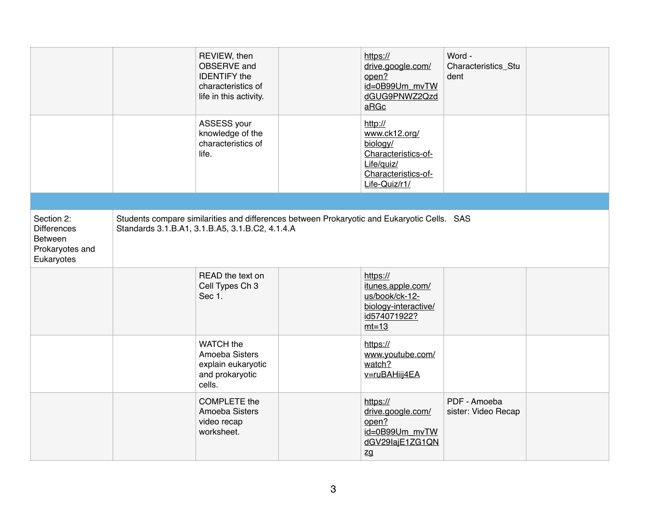|                                                                              | REVIEW, then<br>OBSERVE and<br><b>IDENTIFY</b> the<br>characteristics of<br>life in this activity.                                             | https://<br>drive.google.com/<br>open?<br>id=0B99Um_mvTW<br>dGUG9PNWZ2Qzd<br>aRGc                                 | Word -<br>Characteristics_Stu<br>dent |  |
|------------------------------------------------------------------------------|------------------------------------------------------------------------------------------------------------------------------------------------|-------------------------------------------------------------------------------------------------------------------|---------------------------------------|--|
|                                                                              | ASSESS your<br>knowledge of the<br>characteristics of<br>life.                                                                                 | http://<br>www.ck12.org/<br>biology/<br>Characteristics-of-<br>Life/quiz/<br>Characteristics-of-<br>Life-Quiz/r1/ |                                       |  |
|                                                                              |                                                                                                                                                |                                                                                                                   |                                       |  |
| Section 2:<br><b>Differences</b><br>Between<br>Prokaryotes and<br>Eukaryotes | Students compare similarities and differences between Prokaryotic and Eukaryotic Cells. SAS<br>Standards 3.1.B.A1, 3.1.B.A5, 3.1.B.C2, 4.1.4.A |                                                                                                                   |                                       |  |
|                                                                              | READ the text on<br>Cell Types Ch 3<br>Sec 1.                                                                                                  | https://<br>itunes.apple.com/<br>us/book/ck-12-<br>biology-interactive/<br>id574071922?<br>$mt=13$                |                                       |  |
|                                                                              | WATCH the<br>Amoeba Sisters<br>explain eukaryotic<br>and prokaryotic<br>cells.                                                                 | https://<br>www.youtube.com/<br>watch?<br>v=ruBAHiij4EA                                                           |                                       |  |
|                                                                              | <b>COMPLETE</b> the<br>Amoeba Sisters<br>video recap<br>worksheet.                                                                             | https://<br>drive.google.com/<br>open?<br>id=0B99Um mvTW<br>dGV29lajE1ZG1QN<br>zg                                 | PDF - Amoeba<br>sister: Video Recap   |  |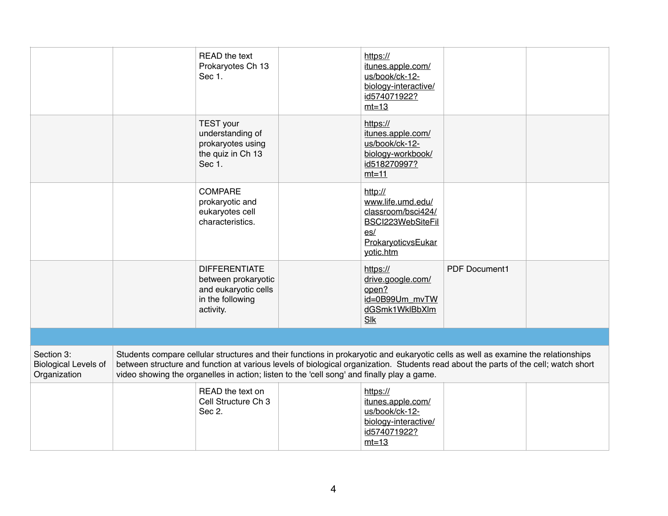|                                                           | READ the text<br>Prokaryotes Ch 13<br>Sec 1.                                                                                                                                                                                                                                                                                                                           | https://<br>itunes.apple.com/<br>us/book/ck-12-<br>biology-interactive/<br>id574071922?<br>$mt=13$                |               |  |
|-----------------------------------------------------------|------------------------------------------------------------------------------------------------------------------------------------------------------------------------------------------------------------------------------------------------------------------------------------------------------------------------------------------------------------------------|-------------------------------------------------------------------------------------------------------------------|---------------|--|
|                                                           | <b>TEST</b> your<br>understanding of<br>prokaryotes using<br>the quiz in Ch 13<br>Sec 1.                                                                                                                                                                                                                                                                               | https://<br>itunes.apple.com/<br>us/book/ck-12-<br>biology-workbook/<br>id518270997?<br>$mt=11$                   |               |  |
|                                                           | <b>COMPARE</b><br>prokaryotic and<br>eukaryotes cell<br>characteristics.                                                                                                                                                                                                                                                                                               | http://<br>www.life.umd.edu/<br>classroom/bsci424/<br>BSCI223WebSiteFil<br>es/<br>ProkaryoticvsEukar<br>yotic.htm |               |  |
|                                                           | <b>DIFFERENTIATE</b><br>between prokaryotic<br>and eukaryotic cells<br>in the following<br>activity.                                                                                                                                                                                                                                                                   | https://<br>drive.google.com/<br>open?<br>id=0B99Um mvTW<br>dGSmk1WklBbXlm<br>Slk                                 | PDF Document1 |  |
|                                                           |                                                                                                                                                                                                                                                                                                                                                                        |                                                                                                                   |               |  |
| Section 3:<br><b>Biological Levels of</b><br>Organization | Students compare cellular structures and their functions in prokaryotic and eukaryotic cells as well as examine the relationships<br>between structure and function at various levels of biological organization. Students read about the parts of the cell; watch short<br>video showing the organelles in action; listen to the 'cell song' and finally play a game. |                                                                                                                   |               |  |
|                                                           | READ the text on<br>Cell Structure Ch 3<br>Sec 2.                                                                                                                                                                                                                                                                                                                      | https://<br>itunes.apple.com/<br>us/book/ck-12-<br>biology-interactive/<br>id574071922?<br>$mt=13$                |               |  |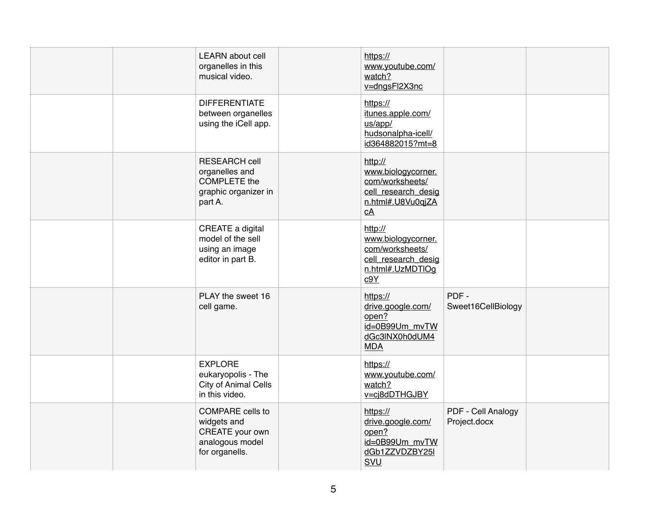|  | <b>LEARN</b> about cell<br>organelles in this<br>musical video.                                  | https://<br>www.youtube.com/<br>watch?<br>v=dngsFl2X3nc                                            |                                    |  |
|--|--------------------------------------------------------------------------------------------------|----------------------------------------------------------------------------------------------------|------------------------------------|--|
|  | <b>DIFFERENTIATE</b><br>between organelles<br>using the iCell app.                               | https://<br>itunes.apple.com/<br>us/app/<br>hudsonalpha-icell/<br>id364882015?mt=8                 |                                    |  |
|  | <b>RESEARCH cell</b><br>organelles and<br><b>COMPLETE</b> the<br>graphic organizer in<br>part A. | http://<br>www.biologycorner.<br>com/worksheets/<br>cell_research_desig<br>n.html#.U8Vu0qjZA<br>cA |                                    |  |
|  | CREATE a digital<br>model of the sell<br>using an image<br>editor in part B.                     | http://<br>www.biologycorner.<br>com/worksheets/<br>cell research desig<br>n.html#.UzMDTIOg<br>c9Y |                                    |  |
|  | PLAY the sweet 16<br>cell game.                                                                  | https://<br>drive.google.com/<br>open?<br>id=0B99Um_mvTW<br>dGc3lNX0h0dUM4<br><b>MDA</b>           | PDF-<br>Sweet16CellBiology         |  |
|  | <b>EXPLORE</b><br>eukaryopolis - The<br>City of Animal Cells<br>in this video.                   | https://<br>www.youtube.com/<br>watch?<br>v=cj8dDTHGJBY                                            |                                    |  |
|  | <b>COMPARE</b> cells to<br>widgets and<br>CREATE your own<br>analogous model<br>for organells.   | https://<br>drive.google.com/<br>open?<br>id=0B99Um_mvTW<br>dGb1ZZVDZBY25I<br>SVU                  | PDF - Cell Analogy<br>Project.docx |  |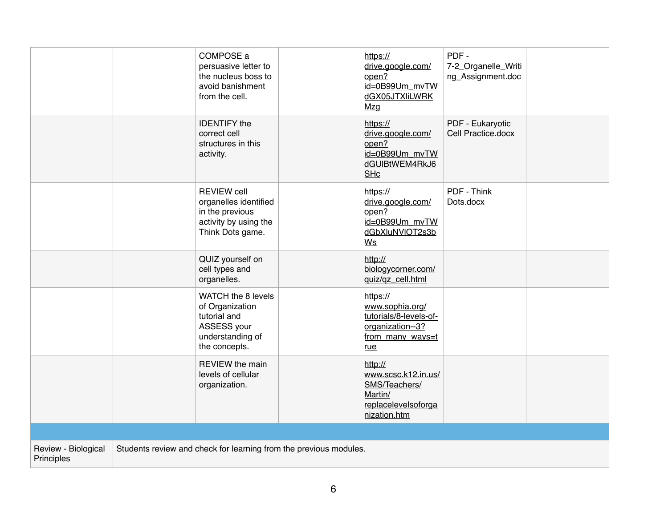|                                                                                                        |  | COMPOSE a<br>persuasive letter to<br>the nucleus boss to<br>avoid banishment<br>from the cell.              |  | https://<br>drive.google.com/<br>open?<br>id=0B99Um_mvTW<br>dGX05JTXIiLWRK<br>Mzg                    | PDF-<br>7-2_Organelle_Writi<br>ng_Assignment.doc |  |
|--------------------------------------------------------------------------------------------------------|--|-------------------------------------------------------------------------------------------------------------|--|------------------------------------------------------------------------------------------------------|--------------------------------------------------|--|
|                                                                                                        |  | <b>IDENTIFY</b> the<br>correct cell<br>structures in this<br>activity.                                      |  | https://<br>drive.google.com/<br>open?<br>id=0B99Um_mvTW<br>dGUIBtWEM4RkJ6<br><b>SHc</b>             | PDF - Eukaryotic<br>Cell Practice.docx           |  |
|                                                                                                        |  | <b>REVIEW cell</b><br>organelles identified<br>in the previous<br>activity by using the<br>Think Dots game. |  | https://<br>drive.google.com/<br>open?<br>id=0B99Um_mvTW<br>dGbXluNVIOT2s3b<br>Ws                    | PDF - Think<br>Dots.docx                         |  |
|                                                                                                        |  | QUIZ yourself on<br>cell types and<br>organelles.                                                           |  | http://<br>biologycorner.com/<br>quiz/qz_cell.html                                                   |                                                  |  |
|                                                                                                        |  | WATCH the 8 levels<br>of Organization<br>tutorial and<br>ASSESS your<br>understanding of<br>the concepts.   |  | https://<br>www.sophia.org/<br>tutorials/8-levels-of-<br>organization--3?<br>from many ways=t<br>rue |                                                  |  |
|                                                                                                        |  | <b>REVIEW</b> the main<br>levels of cellular<br>organization.                                               |  | http://<br>www.scsc.k12.in.us/<br>SMS/Teachers/<br>Martin/<br>replacelevelsoforga<br>nization.htm    |                                                  |  |
|                                                                                                        |  |                                                                                                             |  |                                                                                                      |                                                  |  |
| Review - Biological<br>Students review and check for learning from the previous modules.<br>Principles |  |                                                                                                             |  |                                                                                                      |                                                  |  |